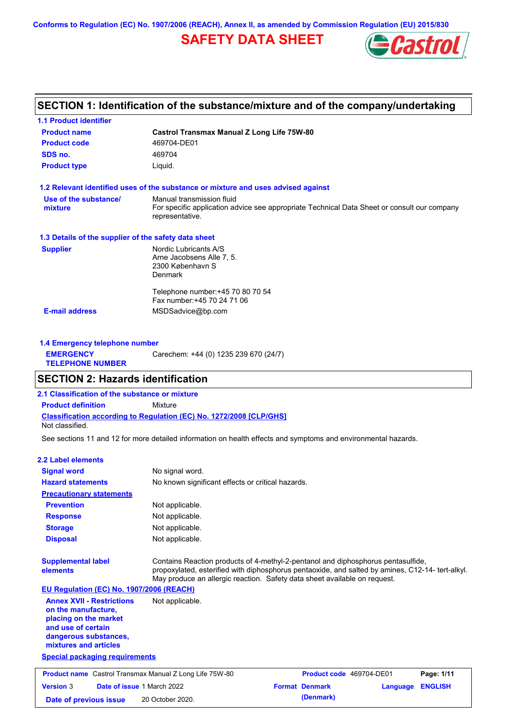**Conforms to Regulation (EC) No. 1907/2006 (REACH), Annex II, as amended by Commission Regulation (EU) 2015/830**

# **SAFETY DATA SHEET**



# **SECTION 1: Identification of the substance/mixture and of the company/undertaking**

| <b>1.1 Product identifier</b>                        |                                                                                                                |
|------------------------------------------------------|----------------------------------------------------------------------------------------------------------------|
| <b>Product name</b>                                  | <b>Castrol Transmax Manual Z Long Life 75W-80</b>                                                              |
| <b>Product code</b>                                  | 469704-DE01                                                                                                    |
| SDS no.                                              | 469704                                                                                                         |
| <b>Product type</b>                                  | Liquid.                                                                                                        |
|                                                      | 1.2 Relevant identified uses of the substance or mixture and uses advised against                              |
| Use of the substance/                                | Manual transmission fluid                                                                                      |
| mixture                                              | For specific application advice see appropriate Technical Data Sheet or consult our company<br>representative. |
| 1.3 Details of the supplier of the safety data sheet |                                                                                                                |
| <b>Supplier</b>                                      | Nordic Lubricants A/S                                                                                          |
|                                                      | Arne Jacobsens Alle 7, 5.                                                                                      |
|                                                      | 2300 København S<br><b>Denmark</b>                                                                             |
|                                                      | Telephone number: +45 70 80 70 54                                                                              |
|                                                      | Fax number: +45 70 24 71 06                                                                                    |
| <b>E-mail address</b>                                | MSDSadvice@bp.com                                                                                              |
|                                                      |                                                                                                                |
| 1.4 Emergency telephone number                       |                                                                                                                |

| <b>1.4 Emergency telephone number</b>       |                                       |
|---------------------------------------------|---------------------------------------|
| <b>EMERGENCY</b><br><b>TELEPHONE NUMBER</b> | Carechem: +44 (0) 1235 239 670 (24/7) |
|                                             |                                       |

## **SECTION 2: Hazards identification**

**2.1 Classification of the substance or mixture**

**Classification according to Regulation (EC) No. 1272/2008 [CLP/GHS] Product definition** Mixture

Not classified.

See sections 11 and 12 for more detailed information on health effects and symptoms and environmental hazards.

### **2.2 Label elements**

| <b>Signal word</b>                                                                                                                                       | No signal word.                                                                                                                                                                                                                                                   |  |
|----------------------------------------------------------------------------------------------------------------------------------------------------------|-------------------------------------------------------------------------------------------------------------------------------------------------------------------------------------------------------------------------------------------------------------------|--|
| <b>Hazard statements</b>                                                                                                                                 | No known significant effects or critical hazards.                                                                                                                                                                                                                 |  |
| <b>Precautionary statements</b>                                                                                                                          |                                                                                                                                                                                                                                                                   |  |
| <b>Prevention</b>                                                                                                                                        | Not applicable.                                                                                                                                                                                                                                                   |  |
| <b>Response</b>                                                                                                                                          | Not applicable.                                                                                                                                                                                                                                                   |  |
| <b>Storage</b>                                                                                                                                           | Not applicable.                                                                                                                                                                                                                                                   |  |
| <b>Disposal</b>                                                                                                                                          | Not applicable.                                                                                                                                                                                                                                                   |  |
| <b>Supplemental label</b><br>elements                                                                                                                    | Contains Reaction products of 4-methyl-2-pentanol and diphosphorus pentasulfide,<br>propoxylated, esterified with diphosphorus pentaoxide, and salted by amines, C12-14- tert-alkyl.<br>May produce an allergic reaction. Safety data sheet available on request. |  |
| EU Regulation (EC) No. 1907/2006 (REACH)                                                                                                                 |                                                                                                                                                                                                                                                                   |  |
| <b>Annex XVII - Restrictions</b><br>on the manufacture,<br>placing on the market<br>and use of certain<br>dangerous substances,<br>mixtures and articles | Not applicable.                                                                                                                                                                                                                                                   |  |
| <b>Special packaging requirements</b>                                                                                                                    |                                                                                                                                                                                                                                                                   |  |
|                                                                                                                                                          | <b>Product name</b> Castrol Transmax Manual Z Long Life 75W-80<br>Product code 469704-DE01<br>Page: 1/11                                                                                                                                                          |  |
| <b>Version 3</b>                                                                                                                                         | Date of issue 1 March 2022<br><b>Format Denmark</b><br><b>ENGLISH</b><br>Language                                                                                                                                                                                 |  |
| Date of previous issue                                                                                                                                   | (Denmark)<br>20 October 2020.                                                                                                                                                                                                                                     |  |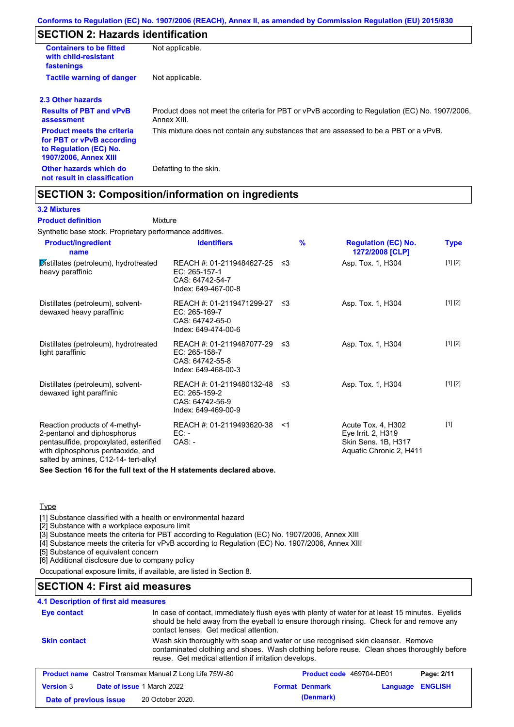# **SECTION 2: Hazards identification**

| <b>Containers to be fitted</b><br>with child-resistant<br>fastenings                                                     | Not applicable.                                                                                               |
|--------------------------------------------------------------------------------------------------------------------------|---------------------------------------------------------------------------------------------------------------|
| <b>Tactile warning of danger</b>                                                                                         | Not applicable.                                                                                               |
| 2.3 Other hazards                                                                                                        |                                                                                                               |
| <b>Results of PBT and vPvB</b><br>assessment                                                                             | Product does not meet the criteria for PBT or vPvB according to Regulation (EC) No. 1907/2006,<br>Annex XIII. |
| <b>Product meets the criteria</b><br>for PBT or vPvB according<br>to Regulation (EC) No.<br><b>1907/2006, Annex XIII</b> | This mixture does not contain any substances that are assessed to be a PBT or a vPvB.                         |
| Other hazards which do<br>not result in classification                                                                   | Defatting to the skin.                                                                                        |

## **SECTION 3: Composition/information on ingredients**

Mixture

### **3.2 Mixtures**

**Product definition**

Synthetic base stock. Proprietary performance additives.

| <b>Product/ingredient</b><br>name                                                                                                                                                    | <b>Identifiers</b>                                                                      | $\frac{9}{6}$ | <b>Regulation (EC) No.</b><br>1272/2008 [CLP]                                              | Type    |
|--------------------------------------------------------------------------------------------------------------------------------------------------------------------------------------|-----------------------------------------------------------------------------------------|---------------|--------------------------------------------------------------------------------------------|---------|
| Distillates (petroleum), hydrotreated<br>heavy paraffinic                                                                                                                            | REACH #: 01-2119484627-25<br>EC: 265-157-1<br>CAS: 64742-54-7<br>Index: 649-467-00-8    | -≤3           | Asp. Tox. 1, H304                                                                          | [1] [2] |
| Distillates (petroleum), solvent-<br>dewaxed heavy paraffinic                                                                                                                        | REACH #: 01-2119471299-27<br>EC: 265-169-7<br>CAS: 64742-65-0<br>Index: 649-474-00-6    | ו≥ ≤          | Asp. Tox. 1, H304                                                                          | [1] [2] |
| Distillates (petroleum), hydrotreated<br>light paraffinic                                                                                                                            | REACH #: 01-2119487077-29 ≤3<br>EC: 265-158-7<br>CAS: 64742-55-8<br>Index: 649-468-00-3 |               | Asp. Tox. 1, H304                                                                          | [1] [2] |
| Distillates (petroleum), solvent-<br>dewaxed light paraffinic                                                                                                                        | REACH #: 01-2119480132-48 ≤3<br>EC: 265-159-2<br>CAS: 64742-56-9<br>Index: 649-469-00-9 |               | Asp. Tox. 1, H304                                                                          | [1] [2] |
| Reaction products of 4-methyl-<br>2-pentanol and diphosphorus<br>pentasulfide, propoxylated, esterified<br>with diphosphorus pentaoxide, and<br>salted by amines, C12-14- tert-alkyl | REACH #: 01-2119493620-38<br>EC: -<br>$CAS: -$                                          | $<$ 1         | Acute Tox. 4, H302<br>Eye Irrit. 2, H319<br>Skin Sens. 1B, H317<br>Aquatic Chronic 2, H411 | $[1]$   |

**See Section 16 for the full text of the H statements declared above.**

**Type** 

[1] Substance classified with a health or environmental hazard

[2] Substance with a workplace exposure limit

[3] Substance meets the criteria for PBT according to Regulation (EC) No. 1907/2006, Annex XIII

[4] Substance meets the criteria for vPvB according to Regulation (EC) No. 1907/2006, Annex XIII

[5] Substance of equivalent concern

[6] Additional disclosure due to company policy

Occupational exposure limits, if available, are listed in Section 8.

## **SECTION 4: First aid measures**

## **4.1 Description of first aid measures**

| <b>Eye contact</b>     | contact lenses. Get medical attention.                         | In case of contact, immediately flush eyes with plenty of water for at least 15 minutes. Eyelids<br>should be held away from the eyeball to ensure thorough rinsing. Check for and remove any |                            |
|------------------------|----------------------------------------------------------------|-----------------------------------------------------------------------------------------------------------------------------------------------------------------------------------------------|----------------------------|
| <b>Skin contact</b>    | reuse. Get medical attention if irritation develops.           | Wash skin thoroughly with soap and water or use recognised skin cleanser. Remove<br>contaminated clothing and shoes. Wash clothing before reuse. Clean shoes thoroughly before                |                            |
|                        | <b>Product name</b> Castrol Transmax Manual Z Long Life 75W-80 | <b>Product code</b> 469704-DE01                                                                                                                                                               | Page: 2/11                 |
| <b>Version 3</b>       | Date of issue 1 March 2022                                     | <b>Format Denmark</b>                                                                                                                                                                         | <b>ENGLISH</b><br>Language |
| Date of previous issue | 20 October 2020.                                               | (Denmark)                                                                                                                                                                                     |                            |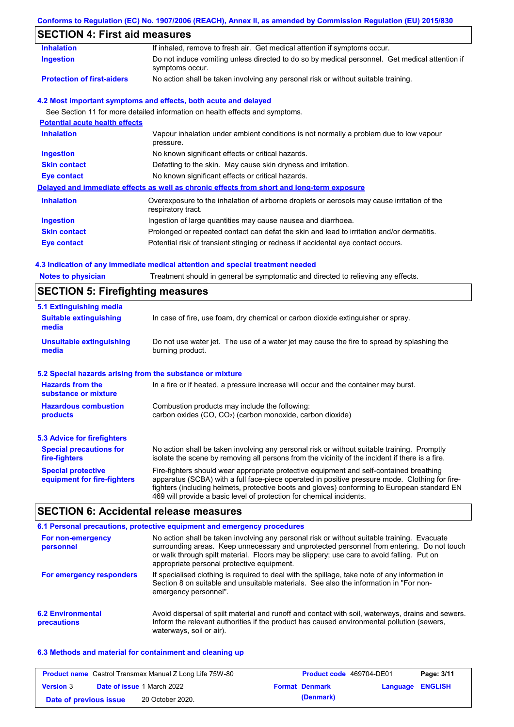### **Conforms to Regulation (EC) No. 1907/2006 (REACH), Annex II, as amended by Commission Regulation (EU) 2015/830**

# **SECTION 4: First aid measures**

| <b>Notes to physician</b>             | 4.3 Indication of any immediate medical attention and special treatment needed<br>Treatment should in general be symptomatic and directed to relieving any effects. |
|---------------------------------------|---------------------------------------------------------------------------------------------------------------------------------------------------------------------|
| <b>Eye contact</b>                    | Potential risk of transient stinging or redness if accidental eye contact occurs.                                                                                   |
| <b>Skin contact</b>                   | Prolonged or repeated contact can defat the skin and lead to irritation and/or dermatitis.                                                                          |
| <b>Ingestion</b>                      | Ingestion of large quantities may cause nausea and diarrhoea.                                                                                                       |
| <b>Inhalation</b>                     | Overexposure to the inhalation of airborne droplets or aerosols may cause irritation of the<br>respiratory tract.                                                   |
|                                       | Delayed and immediate effects as well as chronic effects from short and long-term exposure                                                                          |
| <b>Eye contact</b>                    | No known significant effects or critical hazards.                                                                                                                   |
| <b>Skin contact</b>                   | Defatting to the skin. May cause skin dryness and irritation.                                                                                                       |
| <b>Ingestion</b>                      | No known significant effects or critical hazards.                                                                                                                   |
| <b>Inhalation</b>                     | Vapour inhalation under ambient conditions is not normally a problem due to low vapour<br>pressure.                                                                 |
| <b>Potential acute health effects</b> |                                                                                                                                                                     |
|                                       | See Section 11 for more detailed information on health effects and symptoms.                                                                                        |
|                                       | 4.2 Most important symptoms and effects, both acute and delayed                                                                                                     |
| <b>Protection of first-aiders</b>     | No action shall be taken involving any personal risk or without suitable training.                                                                                  |
| <b>Ingestion</b>                      | Do not induce vomiting unless directed to do so by medical personnel. Get medical attention if<br>symptoms occur.                                                   |
| <b>Inhalation</b>                     | If inhaled, remove to fresh air. Get medical attention if symptoms occur.                                                                                           |

| 5.1 Extinguishing media                                                                                                                                             |                                                                                                                                                                                                                                                                                                                                                                   |  |
|---------------------------------------------------------------------------------------------------------------------------------------------------------------------|-------------------------------------------------------------------------------------------------------------------------------------------------------------------------------------------------------------------------------------------------------------------------------------------------------------------------------------------------------------------|--|
| <b>Suitable extinguishing</b><br>media                                                                                                                              | In case of fire, use foam, dry chemical or carbon dioxide extinguisher or spray.                                                                                                                                                                                                                                                                                  |  |
| <b>Unsuitable extinguishing</b><br>media                                                                                                                            | Do not use water jet. The use of a water jet may cause the fire to spread by splashing the<br>burning product.                                                                                                                                                                                                                                                    |  |
| 5.2 Special hazards arising from the substance or mixture                                                                                                           |                                                                                                                                                                                                                                                                                                                                                                   |  |
| <b>Hazards from the</b><br>substance or mixture                                                                                                                     | In a fire or if heated, a pressure increase will occur and the container may burst.                                                                                                                                                                                                                                                                               |  |
| Combustion products may include the following:<br><b>Hazardous combustion</b><br>carbon oxides (CO, CO <sub>2</sub> ) (carbon monoxide, carbon dioxide)<br>products |                                                                                                                                                                                                                                                                                                                                                                   |  |
| <b>5.3 Advice for firefighters</b>                                                                                                                                  |                                                                                                                                                                                                                                                                                                                                                                   |  |
| <b>Special precautions for</b><br>fire-fighters                                                                                                                     | No action shall be taken involving any personal risk or without suitable training. Promptly<br>isolate the scene by removing all persons from the vicinity of the incident if there is a fire.                                                                                                                                                                    |  |
| <b>Special protective</b><br>equipment for fire-fighters                                                                                                            | Fire-fighters should wear appropriate protective equipment and self-contained breathing<br>apparatus (SCBA) with a full face-piece operated in positive pressure mode. Clothing for fire-<br>fighters (including helmets, protective boots and gloves) conforming to European standard EN<br>469 will provide a basic level of protection for chemical incidents. |  |

# **SECTION 6: Accidental release measures**

|                                         | 6.1 Personal precautions, protective equipment and emergency procedures                                                                                                                                                                                                                                                             |
|-----------------------------------------|-------------------------------------------------------------------------------------------------------------------------------------------------------------------------------------------------------------------------------------------------------------------------------------------------------------------------------------|
| For non-emergency<br>personnel          | No action shall be taken involving any personal risk or without suitable training. Evacuate<br>surrounding areas. Keep unnecessary and unprotected personnel from entering. Do not touch<br>or walk through spilt material. Floors may be slippery; use care to avoid falling. Put on<br>appropriate personal protective equipment. |
| For emergency responders                | If specialised clothing is required to deal with the spillage, take note of any information in<br>Section 8 on suitable and unsuitable materials. See also the information in "For non-<br>emergency personnel".                                                                                                                    |
| <b>6.2 Environmental</b><br>precautions | Avoid dispersal of spilt material and runoff and contact with soil, waterways, drains and sewers.<br>Inform the relevant authorities if the product has caused environmental pollution (sewers,<br>waterways, soil or air).                                                                                                         |

### **6.3 Methods and material for containment and cleaning up**

|                        | <b>Product name</b> Castrol Transmax Manual Z Long Life 75W-80 | <b>Product code</b> 469704-DE01 |                  | Page: 3/11 |
|------------------------|----------------------------------------------------------------|---------------------------------|------------------|------------|
| <b>Version 3</b>       | <b>Date of issue 1 March 2022</b>                              | <b>Format Denmark</b>           | Language ENGLISH |            |
| Date of previous issue | 20 October 2020.                                               | (Denmark)                       |                  |            |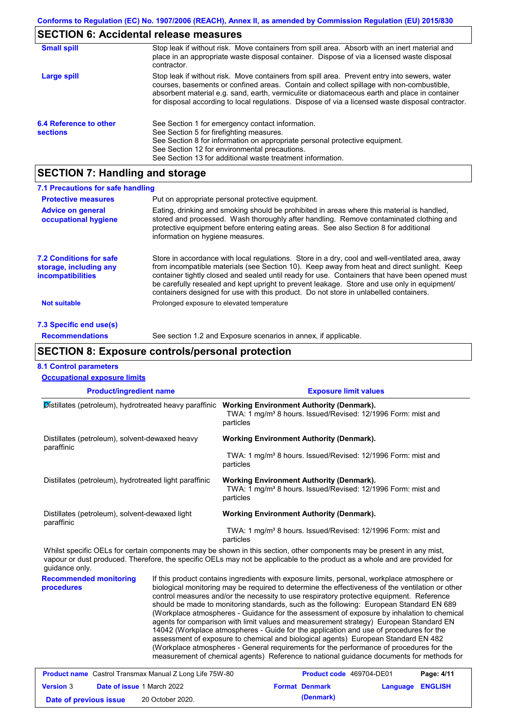# **SECTION 6: Accidental release measures**

| <b>Small spill</b>                        | Stop leak if without risk. Move containers from spill area. Absorb with an inert material and<br>place in an appropriate waste disposal container. Dispose of via a licensed waste disposal<br>contractor.                                                                                                                                                                                     |
|-------------------------------------------|------------------------------------------------------------------------------------------------------------------------------------------------------------------------------------------------------------------------------------------------------------------------------------------------------------------------------------------------------------------------------------------------|
| Large spill                               | Stop leak if without risk. Move containers from spill area. Prevent entry into sewers, water<br>courses, basements or confined areas. Contain and collect spillage with non-combustible,<br>absorbent material e.g. sand, earth, vermiculite or diatomaceous earth and place in container<br>for disposal according to local regulations. Dispose of via a licensed waste disposal contractor. |
| 6.4 Reference to other<br><b>sections</b> | See Section 1 for emergency contact information.<br>See Section 5 for firefighting measures.<br>See Section 8 for information on appropriate personal protective equipment.<br>See Section 12 for environmental precautions.<br>See Section 13 for additional waste treatment information.                                                                                                     |

# **SECTION 7: Handling and storage**

| 7.1 Precautions for safe handling                                                    |                                                                                                                                                                                                                                                                                                                                                                                                                                                                                          |
|--------------------------------------------------------------------------------------|------------------------------------------------------------------------------------------------------------------------------------------------------------------------------------------------------------------------------------------------------------------------------------------------------------------------------------------------------------------------------------------------------------------------------------------------------------------------------------------|
| <b>Protective measures</b>                                                           | Put on appropriate personal protective equipment.                                                                                                                                                                                                                                                                                                                                                                                                                                        |
| <b>Advice on general</b><br>occupational hygiene                                     | Eating, drinking and smoking should be prohibited in areas where this material is handled,<br>stored and processed. Wash thoroughly after handling. Remove contaminated clothing and<br>protective equipment before entering eating areas. See also Section 8 for additional<br>information on hygiene measures.                                                                                                                                                                         |
| <b>7.2 Conditions for safe</b><br>storage, including any<br><i>incompatibilities</i> | Store in accordance with local regulations. Store in a dry, cool and well-ventilated area, away<br>from incompatible materials (see Section 10). Keep away from heat and direct sunlight. Keep<br>container tightly closed and sealed until ready for use. Containers that have been opened must<br>be carefully resealed and kept upright to prevent leakage. Store and use only in equipment/<br>containers designed for use with this product. Do not store in unlabelled containers. |
| Not suitable                                                                         | Prolonged exposure to elevated temperature                                                                                                                                                                                                                                                                                                                                                                                                                                               |
| 7.3 Specific end use(s)                                                              |                                                                                                                                                                                                                                                                                                                                                                                                                                                                                          |
| <b>Recommendations</b>                                                               | See section 1.2 and Exposure scenarios in annex, if applicable.                                                                                                                                                                                                                                                                                                                                                                                                                          |

### **SECTION 8: Exposure controls/personal protection**

### **8.1 Control parameters**

| <b>Occupational exposure limits</b>                          |                                                                                                                                          |
|--------------------------------------------------------------|------------------------------------------------------------------------------------------------------------------------------------------|
| <b>Product/ingredient name</b>                               | <b>Exposure limit values</b>                                                                                                             |
| Distillates (petroleum), hydrotreated heavy paraffinic       | <b>Working Environment Authority (Denmark).</b><br>TWA: 1 mg/m <sup>3</sup> 8 hours. Issued/Revised: 12/1996 Form: mist and<br>particles |
| Distillates (petroleum), solvent-dewaxed heavy<br>paraffinic | <b>Working Environment Authority (Denmark).</b>                                                                                          |
|                                                              | TWA: 1 mg/m <sup>3</sup> 8 hours. Issued/Revised: 12/1996 Form: mist and<br>particles                                                    |
| Distillates (petroleum), hydrotreated light paraffinic       | <b>Working Environment Authority (Denmark).</b><br>TWA: 1 mg/m <sup>3</sup> 8 hours. Issued/Revised: 12/1996 Form: mist and<br>particles |
| Distillates (petroleum), solvent-dewaxed light<br>paraffinic | <b>Working Environment Authority (Denmark).</b>                                                                                          |
|                                                              | TWA: 1 mg/m <sup>3</sup> 8 hours. Issued/Revised: 12/1996 Form: mist and<br>particles                                                    |
|                                                              | Whilet encoific OFLe for certain companents may be shown in this section, other companents may be present in ony mist                    |

Whilst specific OELs for certain components may be shown in this section, other components may be present in any mist, vapour or dust produced. Therefore, the specific OELs may not be applicable to the product as a whole and are provided for guidance only.

**Recommended monitoring procedures** If this product contains ingredients with exposure limits, personal, workplace atmosphere or biological monitoring may be required to determine the effectiveness of the ventilation or other control measures and/or the necessity to use respiratory protective equipment. Reference should be made to monitoring standards, such as the following: European Standard EN 689 (Workplace atmospheres - Guidance for the assessment of exposure by inhalation to chemical agents for comparison with limit values and measurement strategy) European Standard EN 14042 (Workplace atmospheres - Guide for the application and use of procedures for the assessment of exposure to chemical and biological agents) European Standard EN 482 (Workplace atmospheres - General requirements for the performance of procedures for the measurement of chemical agents) Reference to national guidance documents for methods for

|                        | <b>Product name</b> Castrol Transmax Manual Z Long Life 75W-80 | <b>Product code</b> 469704-DE01 |                         | Page: 4/11 |
|------------------------|----------------------------------------------------------------|---------------------------------|-------------------------|------------|
| <b>Version 3</b>       | <b>Date of issue 1 March 2022</b>                              | <b>Format Denmark</b>           | <b>Language ENGLISH</b> |            |
| Date of previous issue | 20 October 2020.                                               | (Denmark)                       |                         |            |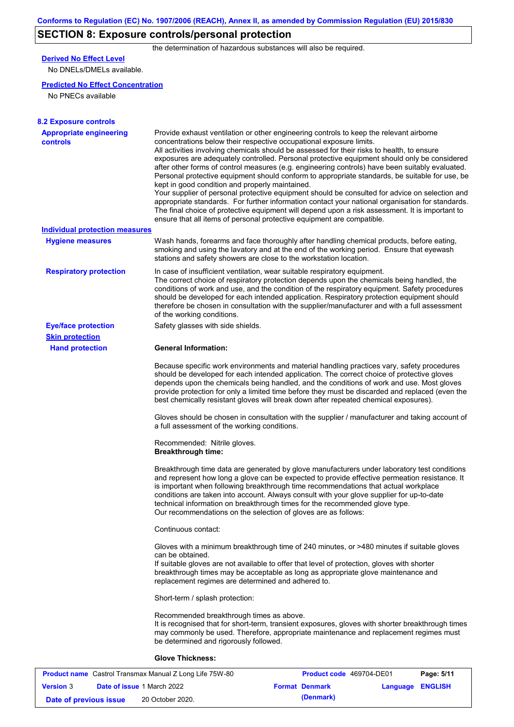# **SECTION 8: Exposure controls/personal protection**

the determination of hazardous substances will also be required.

# **Derived No Effect Level**

No DNELs/DMELs available.

### **Predicted No Effect Concentration**

No PNECs available

| <b>8.2 Exposure controls</b>               |                                                                                                                                                                                                                                                                                                                                                                                                                                                                                                                                                                                                                                                                                                                                                                                                                                                                                                                                                                                                         |
|--------------------------------------------|---------------------------------------------------------------------------------------------------------------------------------------------------------------------------------------------------------------------------------------------------------------------------------------------------------------------------------------------------------------------------------------------------------------------------------------------------------------------------------------------------------------------------------------------------------------------------------------------------------------------------------------------------------------------------------------------------------------------------------------------------------------------------------------------------------------------------------------------------------------------------------------------------------------------------------------------------------------------------------------------------------|
| <b>Appropriate engineering</b><br>controls | Provide exhaust ventilation or other engineering controls to keep the relevant airborne<br>concentrations below their respective occupational exposure limits.<br>All activities involving chemicals should be assessed for their risks to health, to ensure<br>exposures are adequately controlled. Personal protective equipment should only be considered<br>after other forms of control measures (e.g. engineering controls) have been suitably evaluated.<br>Personal protective equipment should conform to appropriate standards, be suitable for use, be<br>kept in good condition and properly maintained.<br>Your supplier of personal protective equipment should be consulted for advice on selection and<br>appropriate standards. For further information contact your national organisation for standards.<br>The final choice of protective equipment will depend upon a risk assessment. It is important to<br>ensure that all items of personal protective equipment are compatible. |
| <b>Individual protection measures</b>      |                                                                                                                                                                                                                                                                                                                                                                                                                                                                                                                                                                                                                                                                                                                                                                                                                                                                                                                                                                                                         |
| <b>Hygiene measures</b>                    | Wash hands, forearms and face thoroughly after handling chemical products, before eating,<br>smoking and using the lavatory and at the end of the working period. Ensure that eyewash<br>stations and safety showers are close to the workstation location.                                                                                                                                                                                                                                                                                                                                                                                                                                                                                                                                                                                                                                                                                                                                             |
| <b>Respiratory protection</b>              | In case of insufficient ventilation, wear suitable respiratory equipment.<br>The correct choice of respiratory protection depends upon the chemicals being handled, the<br>conditions of work and use, and the condition of the respiratory equipment. Safety procedures<br>should be developed for each intended application. Respiratory protection equipment should<br>therefore be chosen in consultation with the supplier/manufacturer and with a full assessment<br>of the working conditions.                                                                                                                                                                                                                                                                                                                                                                                                                                                                                                   |
| <b>Eye/face protection</b>                 | Safety glasses with side shields.                                                                                                                                                                                                                                                                                                                                                                                                                                                                                                                                                                                                                                                                                                                                                                                                                                                                                                                                                                       |
| <b>Skin protection</b>                     |                                                                                                                                                                                                                                                                                                                                                                                                                                                                                                                                                                                                                                                                                                                                                                                                                                                                                                                                                                                                         |
| <b>Hand protection</b>                     | <b>General Information:</b>                                                                                                                                                                                                                                                                                                                                                                                                                                                                                                                                                                                                                                                                                                                                                                                                                                                                                                                                                                             |
|                                            | Because specific work environments and material handling practices vary, safety procedures<br>should be developed for each intended application. The correct choice of protective gloves<br>depends upon the chemicals being handled, and the conditions of work and use. Most gloves<br>provide protection for only a limited time before they must be discarded and replaced (even the<br>best chemically resistant gloves will break down after repeated chemical exposures).                                                                                                                                                                                                                                                                                                                                                                                                                                                                                                                        |
|                                            | Gloves should be chosen in consultation with the supplier / manufacturer and taking account of<br>a full assessment of the working conditions.                                                                                                                                                                                                                                                                                                                                                                                                                                                                                                                                                                                                                                                                                                                                                                                                                                                          |
|                                            | Recommended: Nitrile gloves.<br><b>Breakthrough time:</b>                                                                                                                                                                                                                                                                                                                                                                                                                                                                                                                                                                                                                                                                                                                                                                                                                                                                                                                                               |
|                                            | Breakthrough time data are generated by glove manufacturers under laboratory test conditions<br>and represent how long a glove can be expected to provide effective permeation resistance. It<br>is important when following breakthrough time recommendations that actual workplace<br>conditions are taken into account. Always consult with your glove supplier for up-to-date<br>technical information on breakthrough times for the recommended glove type.<br>Our recommendations on the selection of gloves are as follows:                                                                                                                                                                                                                                                                                                                                                                                                                                                                      |
|                                            | Continuous contact:                                                                                                                                                                                                                                                                                                                                                                                                                                                                                                                                                                                                                                                                                                                                                                                                                                                                                                                                                                                     |
|                                            | Gloves with a minimum breakthrough time of 240 minutes, or >480 minutes if suitable gloves<br>can be obtained.<br>If suitable gloves are not available to offer that level of protection, gloves with shorter<br>breakthrough times may be acceptable as long as appropriate glove maintenance and<br>replacement regimes are determined and adhered to.                                                                                                                                                                                                                                                                                                                                                                                                                                                                                                                                                                                                                                                |
|                                            | Short-term / splash protection:                                                                                                                                                                                                                                                                                                                                                                                                                                                                                                                                                                                                                                                                                                                                                                                                                                                                                                                                                                         |
|                                            | Recommended breakthrough times as above.<br>It is recognised that for short-term, transient exposures, gloves with shorter breakthrough times<br>may commonly be used. Therefore, appropriate maintenance and replacement regimes must<br>be determined and rigorously followed.                                                                                                                                                                                                                                                                                                                                                                                                                                                                                                                                                                                                                                                                                                                        |
|                                            | <b>Glove Thickness:</b>                                                                                                                                                                                                                                                                                                                                                                                                                                                                                                                                                                                                                                                                                                                                                                                                                                                                                                                                                                                 |

| <b>Product name</b> Castrol Transmax Manual Z Long Life 75W-80 |  |                                   | <b>Product code</b> 469704-DE01 |                       | Page: 5/11              |  |
|----------------------------------------------------------------|--|-----------------------------------|---------------------------------|-----------------------|-------------------------|--|
| <b>Version 3</b>                                               |  | <b>Date of issue 1 March 2022</b> |                                 | <b>Format Denmark</b> | <b>Language ENGLISH</b> |  |
| Date of previous issue                                         |  | 20 October 2020.                  |                                 | (Denmark)             |                         |  |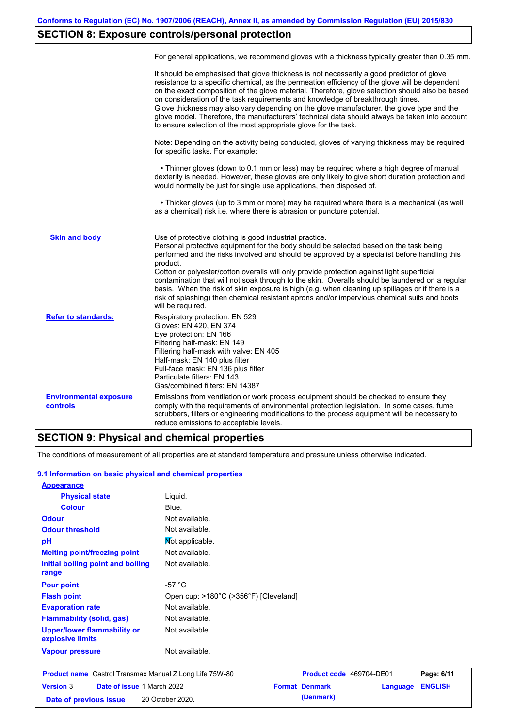# **SECTION 8: Exposure controls/personal protection**

|                                           | For general applications, we recommend gloves with a thickness typically greater than 0.35 mm.                                                                                                                                                                                                                                                                                                                                                                                                                                                                                                                                                                                        |
|-------------------------------------------|---------------------------------------------------------------------------------------------------------------------------------------------------------------------------------------------------------------------------------------------------------------------------------------------------------------------------------------------------------------------------------------------------------------------------------------------------------------------------------------------------------------------------------------------------------------------------------------------------------------------------------------------------------------------------------------|
|                                           | It should be emphasised that glove thickness is not necessarily a good predictor of glove<br>resistance to a specific chemical, as the permeation efficiency of the glove will be dependent<br>on the exact composition of the glove material. Therefore, glove selection should also be based<br>on consideration of the task requirements and knowledge of breakthrough times.<br>Glove thickness may also vary depending on the glove manufacturer, the glove type and the<br>glove model. Therefore, the manufacturers' technical data should always be taken into account<br>to ensure selection of the most appropriate glove for the task.                                     |
|                                           | Note: Depending on the activity being conducted, gloves of varying thickness may be required<br>for specific tasks. For example:                                                                                                                                                                                                                                                                                                                                                                                                                                                                                                                                                      |
|                                           | • Thinner gloves (down to 0.1 mm or less) may be required where a high degree of manual<br>dexterity is needed. However, these gloves are only likely to give short duration protection and<br>would normally be just for single use applications, then disposed of.                                                                                                                                                                                                                                                                                                                                                                                                                  |
|                                           | • Thicker gloves (up to 3 mm or more) may be required where there is a mechanical (as well<br>as a chemical) risk i.e. where there is abrasion or puncture potential.                                                                                                                                                                                                                                                                                                                                                                                                                                                                                                                 |
| <b>Skin and body</b>                      | Use of protective clothing is good industrial practice.<br>Personal protective equipment for the body should be selected based on the task being<br>performed and the risks involved and should be approved by a specialist before handling this<br>product.<br>Cotton or polyester/cotton overalls will only provide protection against light superficial<br>contamination that will not soak through to the skin. Overalls should be laundered on a regular<br>basis. When the risk of skin exposure is high (e.g. when cleaning up spillages or if there is a<br>risk of splashing) then chemical resistant aprons and/or impervious chemical suits and boots<br>will be required. |
| <b>Refer to standards:</b>                | Respiratory protection: EN 529<br>Gloves: EN 420, EN 374<br>Eye protection: EN 166<br>Filtering half-mask: EN 149<br>Filtering half-mask with valve: EN 405<br>Half-mask: EN 140 plus filter<br>Full-face mask: EN 136 plus filter<br>Particulate filters: EN 143<br>Gas/combined filters: EN 14387                                                                                                                                                                                                                                                                                                                                                                                   |
| <b>Environmental exposure</b><br>controls | Emissions from ventilation or work process equipment should be checked to ensure they<br>comply with the requirements of environmental protection legislation. In some cases, fume<br>scrubbers, filters or engineering modifications to the process equipment will be necessary to<br>reduce emissions to acceptable levels.                                                                                                                                                                                                                                                                                                                                                         |

## **SECTION 9: Physical and chemical properties**

The conditions of measurement of all properties are at standard temperature and pressure unless otherwise indicated.

### **9.1 Information on basic physical and chemical properties**

| <b>Appearance</b>                               |                                       |
|-------------------------------------------------|---------------------------------------|
| <b>Physical state</b>                           | Liguid.                               |
| <b>Colour</b>                                   | Blue.                                 |
| <b>Odour</b>                                    | Not available.                        |
| <b>Odour threshold</b>                          | Not available.                        |
| рH                                              | Not applicable.                       |
| <b>Melting point/freezing point</b>             | Not available.                        |
| Initial boiling point and boiling               | Not available.                        |
| range                                           |                                       |
| <b>Pour point</b>                               | -57 °C                                |
| <b>Flash point</b>                              | Open cup: >180°C (>356°F) [Cleveland] |
| <b>Evaporation rate</b>                         | Not available.                        |
| <b>Flammability (solid, gas)</b>                | Not available.                        |
| Upper/lower flammability or<br>explosive limits | Not available.                        |
| <b>Vapour pressure</b>                          | Not available.                        |

| <b>Product name</b> Castrol Transmax Manual Z Long Life 75W-80 |                                   |                  | <b>Product code</b> 469704-DE01 |                       | Page: 6/11              |  |
|----------------------------------------------------------------|-----------------------------------|------------------|---------------------------------|-----------------------|-------------------------|--|
| <b>Version 3</b>                                               | <b>Date of issue 1 March 2022</b> |                  |                                 | <b>Format Denmark</b> | <b>Language ENGLISH</b> |  |
| Date of previous issue                                         |                                   | 20 October 2020. |                                 | (Denmark)             |                         |  |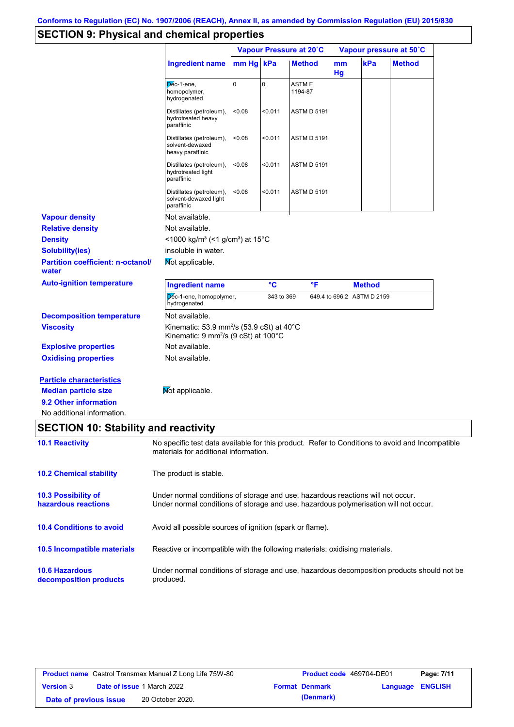# **SECTION 9: Physical and chemical properties**

|                                                                                                                       |                                                                                                                                                                         | Vapour Pressure at 20°C |            |                    | Vapour pressure at 50°C |                            |               |
|-----------------------------------------------------------------------------------------------------------------------|-------------------------------------------------------------------------------------------------------------------------------------------------------------------------|-------------------------|------------|--------------------|-------------------------|----------------------------|---------------|
|                                                                                                                       | Ingredient name mm Hg kPa                                                                                                                                               |                         |            | <b>Method</b>      | mm<br>Hg                | kPa                        | <b>Method</b> |
|                                                                                                                       | Dec-1-ene,<br>homopolymer,<br>hydrogenated                                                                                                                              | $\mathbf 0$             | 0          | ASTM E<br>1194-87  |                         |                            |               |
|                                                                                                                       | Distillates (petroleum),<br>hydrotreated heavy<br>paraffinic                                                                                                            | < 0.08                  | < 0.011    | <b>ASTM D 5191</b> |                         |                            |               |
|                                                                                                                       | Distillates (petroleum),<br>solvent-dewaxed<br>heavy paraffinic                                                                                                         | < 0.08                  | < 0.011    | <b>ASTM D 5191</b> |                         |                            |               |
|                                                                                                                       | Distillates (petroleum),<br>hydrotreated light<br>paraffinic                                                                                                            | < 0.08                  | < 0.011    | <b>ASTM D 5191</b> |                         |                            |               |
|                                                                                                                       | Distillates (petroleum),<br>solvent-dewaxed light<br>paraffinic                                                                                                         | < 0.08                  | 50.011     | <b>ASTM D 5191</b> |                         |                            |               |
| <b>Vapour density</b>                                                                                                 | Not available.                                                                                                                                                          |                         |            |                    |                         |                            |               |
| <b>Relative density</b>                                                                                               | Not available.                                                                                                                                                          |                         |            |                    |                         |                            |               |
| <b>Density</b>                                                                                                        | <1000 kg/m <sup>3</sup> (<1 g/cm <sup>3</sup> ) at 15 <sup>°</sup> C                                                                                                    |                         |            |                    |                         |                            |               |
| <b>Solubility(ies)</b>                                                                                                | insoluble in water.                                                                                                                                                     |                         |            |                    |                         |                            |               |
| <b>Partition coefficient: n-octanol/</b><br>water                                                                     | Not applicable.                                                                                                                                                         |                         |            |                    |                         |                            |               |
| <b>Auto-ignition temperature</b>                                                                                      | <b>Ingredient name</b>                                                                                                                                                  |                         | °C         | °F                 |                         | <b>Method</b>              |               |
|                                                                                                                       | Dec-1-ene, homopolymer,<br>hydrogenated                                                                                                                                 |                         | 343 to 369 |                    |                         | 649.4 to 696.2 ASTM D 2159 |               |
| <b>Decomposition temperature</b>                                                                                      | Not available.                                                                                                                                                          |                         |            |                    |                         |                            |               |
| <b>Viscosity</b>                                                                                                      | Kinematic: 53.9 mm <sup>2</sup> /s (53.9 cSt) at 40°C<br>Kinematic: 9 mm <sup>2</sup> /s (9 cSt) at 100°C                                                               |                         |            |                    |                         |                            |               |
| <b>Explosive properties</b>                                                                                           | Not available.                                                                                                                                                          |                         |            |                    |                         |                            |               |
| <b>Oxidising properties</b>                                                                                           | Not available.                                                                                                                                                          |                         |            |                    |                         |                            |               |
| <b>Particle characteristics</b><br><b>Median particle size</b><br>9.2 Other information<br>No additional information. | Not applicable.                                                                                                                                                         |                         |            |                    |                         |                            |               |
| <b>SECTION 10: Stability and reactivity</b>                                                                           |                                                                                                                                                                         |                         |            |                    |                         |                            |               |
| <b>10.1 Reactivity</b>                                                                                                | No specific test data available for this product. Refer to Conditions to avoid and Incompatible<br>materials for additional information.                                |                         |            |                    |                         |                            |               |
| <b>10.2 Chemical stability</b>                                                                                        | The product is stable.                                                                                                                                                  |                         |            |                    |                         |                            |               |
| 10.3 Possibility of<br>hazardous reactions                                                                            | Under normal conditions of storage and use, hazardous reactions will not occur.<br>Under normal conditions of storage and use, hazardous polymerisation will not occur. |                         |            |                    |                         |                            |               |
| <b>10.4 Conditions to avoid</b>                                                                                       | Avoid all possible sources of ignition (spark or flame).                                                                                                                |                         |            |                    |                         |                            |               |
| 10.5 Incompatible materials                                                                                           | Reactive or incompatible with the following materials: oxidising materials.                                                                                             |                         |            |                    |                         |                            |               |
| <b>10.6 Hazardous</b><br>decomposition products                                                                       | Under normal conditions of storage and use, hazardous decomposition products should not be<br>produced.                                                                 |                         |            |                    |                         |                            |               |

| <b>Product name</b> Castrol Transmax Manual Z Long Life 75W-80 |  |                                   | <b>Product code</b> 469704-DE01 |                       | Page: 7/11              |  |
|----------------------------------------------------------------|--|-----------------------------------|---------------------------------|-----------------------|-------------------------|--|
| <b>Version 3</b>                                               |  | <b>Date of issue 1 March 2022</b> |                                 | <b>Format Denmark</b> | <b>Language ENGLISH</b> |  |
| Date of previous issue                                         |  | 20 October 2020.                  |                                 | (Denmark)             |                         |  |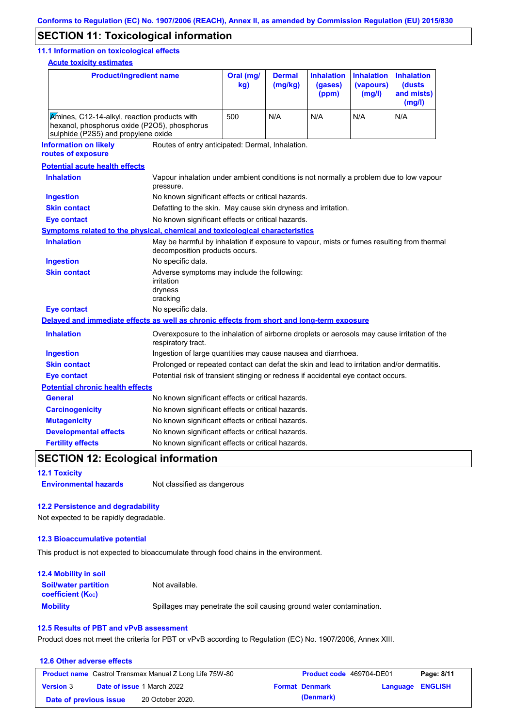## **SECTION 11: Toxicological information**

### **11.1 Information on toxicological effects**

**Acute toxicity estimates**

| <b>Product/ingredient name</b>                                                                                                      |                                                                                                                   | Oral (mg/<br><b>Dermal</b><br>(mg/kg)<br>kg)                                                                                |     | <b>Inhalation</b><br>(gases)<br>(ppm) | <b>Inhalation</b><br>(vapours)<br>(mg/l) | <b>Inhalation</b><br>(dusts<br>and mists)<br>(mg/l) |  |  |  |
|-------------------------------------------------------------------------------------------------------------------------------------|-------------------------------------------------------------------------------------------------------------------|-----------------------------------------------------------------------------------------------------------------------------|-----|---------------------------------------|------------------------------------------|-----------------------------------------------------|--|--|--|
| Amines, C12-14-alkyl, reaction products with<br>hexanol, phosphorus oxide (P2O5), phosphorus<br>sulphide (P2S5) and propylene oxide |                                                                                                                   | 500                                                                                                                         | N/A | N/A                                   | N/A                                      | N/A                                                 |  |  |  |
| <b>Information on likely</b><br>routes of exposure                                                                                  |                                                                                                                   | Routes of entry anticipated: Dermal, Inhalation.                                                                            |     |                                       |                                          |                                                     |  |  |  |
| <b>Potential acute health effects</b>                                                                                               |                                                                                                                   |                                                                                                                             |     |                                       |                                          |                                                     |  |  |  |
| <b>Inhalation</b>                                                                                                                   | Vapour inhalation under ambient conditions is not normally a problem due to low vapour<br>pressure.               |                                                                                                                             |     |                                       |                                          |                                                     |  |  |  |
| <b>Ingestion</b>                                                                                                                    | No known significant effects or critical hazards.                                                                 |                                                                                                                             |     |                                       |                                          |                                                     |  |  |  |
| <b>Skin contact</b>                                                                                                                 | Defatting to the skin. May cause skin dryness and irritation.                                                     |                                                                                                                             |     |                                       |                                          |                                                     |  |  |  |
| <b>Eye contact</b>                                                                                                                  | No known significant effects or critical hazards.                                                                 |                                                                                                                             |     |                                       |                                          |                                                     |  |  |  |
| <b>Symptoms related to the physical, chemical and toxicological characteristics</b>                                                 |                                                                                                                   |                                                                                                                             |     |                                       |                                          |                                                     |  |  |  |
| <b>Inhalation</b>                                                                                                                   |                                                                                                                   | May be harmful by inhalation if exposure to vapour, mists or fumes resulting from thermal<br>decomposition products occurs. |     |                                       |                                          |                                                     |  |  |  |
| <b>Ingestion</b>                                                                                                                    | No specific data.                                                                                                 |                                                                                                                             |     |                                       |                                          |                                                     |  |  |  |
| <b>Skin contact</b>                                                                                                                 | Adverse symptoms may include the following:<br>irritation<br>dryness<br>cracking                                  |                                                                                                                             |     |                                       |                                          |                                                     |  |  |  |
| <b>Eye contact</b>                                                                                                                  | No specific data.                                                                                                 |                                                                                                                             |     |                                       |                                          |                                                     |  |  |  |
| Delayed and immediate effects as well as chronic effects from short and long-term exposure                                          |                                                                                                                   |                                                                                                                             |     |                                       |                                          |                                                     |  |  |  |
| <b>Inhalation</b>                                                                                                                   | Overexposure to the inhalation of airborne droplets or aerosols may cause irritation of the<br>respiratory tract. |                                                                                                                             |     |                                       |                                          |                                                     |  |  |  |
| <b>Ingestion</b>                                                                                                                    | Ingestion of large quantities may cause nausea and diarrhoea.                                                     |                                                                                                                             |     |                                       |                                          |                                                     |  |  |  |
| <b>Skin contact</b>                                                                                                                 | Prolonged or repeated contact can defat the skin and lead to irritation and/or dermatitis.                        |                                                                                                                             |     |                                       |                                          |                                                     |  |  |  |
| <b>Eye contact</b>                                                                                                                  | Potential risk of transient stinging or redness if accidental eye contact occurs.                                 |                                                                                                                             |     |                                       |                                          |                                                     |  |  |  |
| <b>Potential chronic health effects</b>                                                                                             |                                                                                                                   |                                                                                                                             |     |                                       |                                          |                                                     |  |  |  |
| <b>General</b>                                                                                                                      | No known significant effects or critical hazards.                                                                 |                                                                                                                             |     |                                       |                                          |                                                     |  |  |  |
| <b>Carcinogenicity</b>                                                                                                              | No known significant effects or critical hazards.                                                                 |                                                                                                                             |     |                                       |                                          |                                                     |  |  |  |
| <b>Mutagenicity</b>                                                                                                                 | No known significant effects or critical hazards.                                                                 |                                                                                                                             |     |                                       |                                          |                                                     |  |  |  |
| <b>Developmental effects</b>                                                                                                        | No known significant effects or critical hazards.                                                                 |                                                                                                                             |     |                                       |                                          |                                                     |  |  |  |
| <b>Fertility effects</b>                                                                                                            | No known significant effects or critical hazards.                                                                 |                                                                                                                             |     |                                       |                                          |                                                     |  |  |  |

# **SECTION 12: Ecological information**

**12.1 Toxicity**

**Environmental hazards** Not classified as dangerous

### **12.2 Persistence and degradability**

Not expected to be rapidly degradable.

### **12.3 Bioaccumulative potential**

This product is not expected to bioaccumulate through food chains in the environment.

| <b>12.4 Mobility in soil</b>                            |                                                                      |
|---------------------------------------------------------|----------------------------------------------------------------------|
| <b>Soil/water partition</b><br><b>coefficient (Koc)</b> | Not available.                                                       |
| <b>Mobility</b>                                         | Spillages may penetrate the soil causing ground water contamination. |

### **12.5 Results of PBT and vPvB assessment**

Product does not meet the criteria for PBT or vPvB according to Regulation (EC) No. 1907/2006, Annex XIII.

| 12.6 Other adverse effects |                                                                |                          |                         |            |
|----------------------------|----------------------------------------------------------------|--------------------------|-------------------------|------------|
|                            | <b>Product name</b> Castrol Transmax Manual Z Long Life 75W-80 | Product code 469704-DE01 |                         | Page: 8/11 |
| <b>Version 3</b>           | <b>Date of issue 1 March 2022</b>                              | <b>Format Denmark</b>    | <b>Language ENGLISH</b> |            |
| Date of previous issue     | 20 October 2020.                                               | (Denmark)                |                         |            |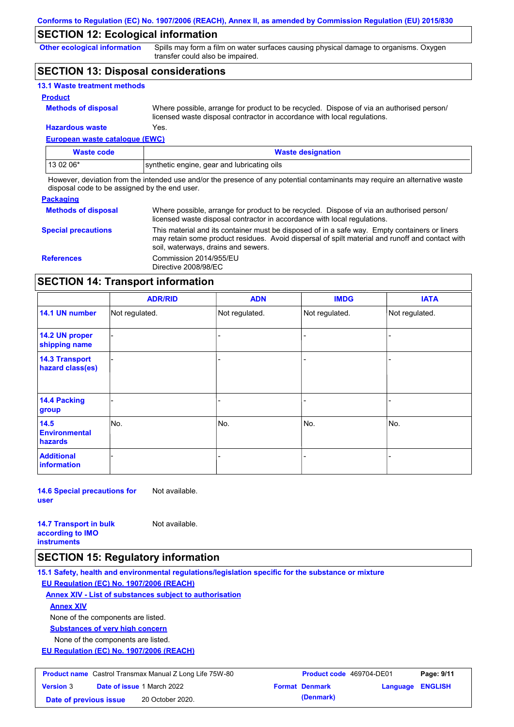## **SECTION 12: Ecological information**

**Other ecological information**

Spills may form a film on water surfaces causing physical damage to organisms. Oxygen transfer could also be impaired.

## **SECTION 13: Disposal considerations**

| <b>13.1 Waste treatment methods</b> |                                                                                                                                                                      |
|-------------------------------------|----------------------------------------------------------------------------------------------------------------------------------------------------------------------|
| <b>Product</b>                      |                                                                                                                                                                      |
| <b>Methods of disposal</b>          | Where possible, arrange for product to be recycled. Dispose of via an authorised person/<br>licensed waste disposal contractor in accordance with local regulations. |
| <b>Hazardous waste</b>              | Yes.                                                                                                                                                                 |

## **European waste catalogue (EWC)**

| <b>Waste code</b> | <b>Waste designation</b>                    |
|-------------------|---------------------------------------------|
| 13 02 06*         | synthetic engine, gear and lubricating oils |

However, deviation from the intended use and/or the presence of any potential contaminants may require an alternative waste disposal code to be assigned by the end user.

### **Packaging**

| <b>Methods of disposal</b> | Where possible, arrange for product to be recycled. Dispose of via an authorised person/<br>licensed waste disposal contractor in accordance with local regulations.                                                                    |
|----------------------------|-----------------------------------------------------------------------------------------------------------------------------------------------------------------------------------------------------------------------------------------|
| <b>Special precautions</b> | This material and its container must be disposed of in a safe way. Empty containers or liners<br>may retain some product residues. Avoid dispersal of spilt material and runoff and contact with<br>soil, waterways, drains and sewers. |
| <b>References</b>          | Commission 2014/955/EU<br>Directive 2008/98/EC                                                                                                                                                                                          |

## **SECTION 14: Transport information**

|                                           | <b>ADR/RID</b> | <b>ADN</b>     | <b>IMDG</b>    | <b>IATA</b>    |
|-------------------------------------------|----------------|----------------|----------------|----------------|
| 14.1 UN number                            | Not regulated. | Not regulated. | Not regulated. | Not regulated. |
| 14.2 UN proper<br>shipping name           |                |                |                |                |
| <b>14.3 Transport</b><br>hazard class(es) |                |                | -              |                |
| 14.4 Packing<br>group                     |                |                |                |                |
| 14.5<br><b>Environmental</b><br>hazards   | No.            | No.            | No.            | No.            |
| <b>Additional</b><br>information          |                |                | -              |                |

**14.6 Special precautions for user** Not available.

**14.7 Transport in bulk according to IMO instruments**

Not available.

# **SECTION 15: Regulatory information**

**15.1 Safety, health and environmental regulations/legislation specific for the substance or mixture**

**EU Regulation (EC) No. 1907/2006 (REACH)**

**Annex XIV - List of substances subject to authorisation**

**Annex XIV**

None of the components are listed.

**Substances of very high concern**

None of the components are listed.

**EU Regulation (EC) No. 1907/2006 (REACH)**

| <b>Product name</b> Castrol Transmax Manual Z Long Life 75W-80 |                                   | <b>Product code</b> 469704-DE01 |  | Page: 9/11            |                         |  |
|----------------------------------------------------------------|-----------------------------------|---------------------------------|--|-----------------------|-------------------------|--|
| <b>Version 3</b>                                               | <b>Date of issue 1 March 2022</b> |                                 |  | <b>Format Denmark</b> | <b>Language ENGLISH</b> |  |
| Date of previous issue                                         |                                   | 20 October 2020.                |  | (Denmark)             |                         |  |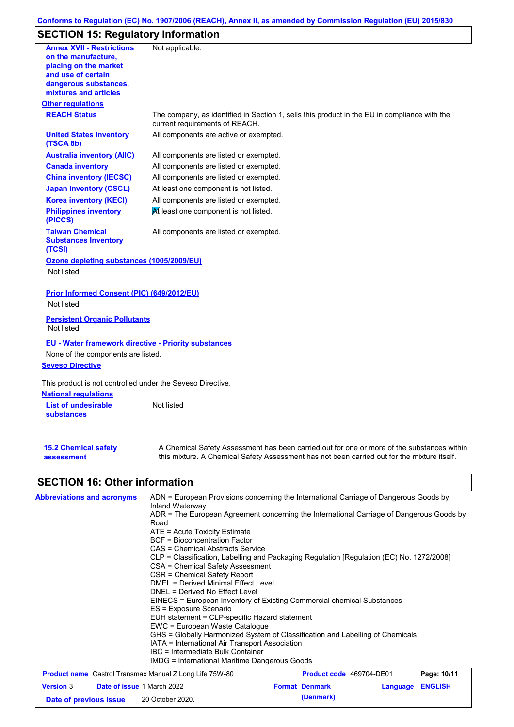### **Conforms to Regulation (EC) No. 1907/2006 (REACH), Annex II, as amended by Commission Regulation (EU) 2015/830**

# **SECTION 15: Regulatory information**

| <b>Annex XVII - Restrictions</b>                                | Not applicable.                                                                                                                |
|-----------------------------------------------------------------|--------------------------------------------------------------------------------------------------------------------------------|
| on the manufacture,                                             |                                                                                                                                |
| placing on the market                                           |                                                                                                                                |
| and use of certain                                              |                                                                                                                                |
| dangerous substances,<br>mixtures and articles                  |                                                                                                                                |
| <b>Other regulations</b>                                        |                                                                                                                                |
| <b>REACH Status</b>                                             | The company, as identified in Section 1, sells this product in the EU in compliance with the<br>current requirements of REACH. |
| <b>United States inventory</b><br>(TSCA 8b)                     | All components are active or exempted.                                                                                         |
| <b>Australia inventory (AIIC)</b>                               | All components are listed or exempted.                                                                                         |
| <b>Canada inventory</b>                                         | All components are listed or exempted.                                                                                         |
| <b>China inventory (IECSC)</b>                                  | All components are listed or exempted.                                                                                         |
| <b>Japan inventory (CSCL)</b>                                   | At least one component is not listed.                                                                                          |
| <b>Korea inventory (KECI)</b>                                   | All components are listed or exempted.                                                                                         |
| <b>Philippines inventory</b>                                    | At least one component is not listed.                                                                                          |
| (PICCS)                                                         |                                                                                                                                |
| <b>Taiwan Chemical</b><br><b>Substances Inventory</b><br>(TCSI) | All components are listed or exempted.                                                                                         |
| Ozone depleting substances (1005/2009/EU)                       |                                                                                                                                |
| Not listed.                                                     |                                                                                                                                |
| Prior Informed Consent (PIC) (649/2012/EU)                      |                                                                                                                                |
| Not listed.                                                     |                                                                                                                                |
| <b>Persistent Organic Pollutants</b><br>Not listed.             |                                                                                                                                |
| <b>EU - Water framework directive - Priority substances</b>     |                                                                                                                                |
| None of the components are listed.                              |                                                                                                                                |
| <b>Seveso Directive</b>                                         |                                                                                                                                |
| This product is not controlled under the Seveso Directive.      |                                                                                                                                |
| <b>National regulations</b>                                     |                                                                                                                                |
| <b>List of undesirable</b>                                      | Not listed                                                                                                                     |
| <b>substances</b>                                               |                                                                                                                                |
| <b>15.2 Chemical safety</b>                                     | A Chemical Safety Assessment has been carried out for one or more of the substances within                                     |
| assessment                                                      | this mixture. A Chemical Safety Assessment has not been carried out for the mixture itself.                                    |
| <b>SECTION 16: Other information</b>                            |                                                                                                                                |
| <b>Abbreviations and acronyms</b>                               | ADN = European Provisions concerning the International Carriage of Dangerous Goods by<br>Inland Waterway                       |
|                                                                 | ADR = The European Agreement concerning the International Carriage of Dangerous Goods by<br>Road                               |
|                                                                 |                                                                                                                                |
|                                                                 | ATE = Acute Toxicity Estimate                                                                                                  |
|                                                                 | <b>BCF</b> = Bioconcentration Factor<br><b>CAS = Chemical Abstracts Service</b>                                                |

- CSA = Chemical Safety Assessment
- CSR = Chemical Safety Report
- DMEL = Derived Minimal Effect Level
- DNEL = Derived No Effect Level
- EINECS = European Inventory of Existing Commercial chemical Substances
- ES = Exposure Scenario
- EUH statement = CLP-specific Hazard statement
- EWC = European Waste Catalogue
- GHS = Globally Harmonized System of Classification and Labelling of Chemicals
- IATA = International Air Transport Association
- IBC = Intermediate Bulk Container
- IMDG = International Maritime Dangerous Goods

| <b>Product name</b> Castrol Transmax Manual Z Long Life 75W-80 |                                   | <b>Product code</b> 469704-DE01 |  | Page: 10/11           |                         |  |
|----------------------------------------------------------------|-----------------------------------|---------------------------------|--|-----------------------|-------------------------|--|
| <b>Version 3</b>                                               | <b>Date of issue 1 March 2022</b> |                                 |  | <b>Format Denmark</b> | <b>Language ENGLISH</b> |  |
| Date of previous issue                                         |                                   | 20 October 2020.                |  | (Denmark)             |                         |  |